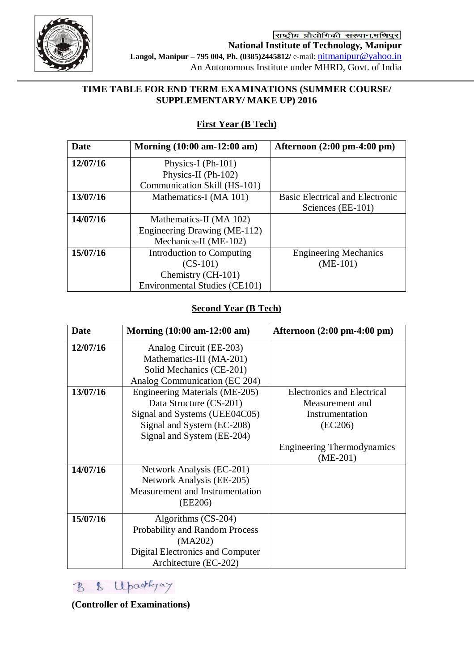

राष्ट्रीय प्रौद्योगिकी संस्थान,मणिपुर **National Institute of Technology, Manipur Langol, Manipur – 795 004, Ph. (0385)2445812/** e-mail: [nitmanipur@yahoo.in](mailto:nitmanipur@yahoo.in) An Autonomous Institute under MHRD, Govt. of India

#### **TIME TABLE FOR END TERM EXAMINATIONS (SUMMER COURSE/ SUPPLEMENTARY/ MAKE UP) 2016**

# **First Year (B Tech)**

| Date     | Morning (10:00 am-12:00 am)          | Afternoon $(2:00 \text{ pm-}4:00 \text{ pm})$ |
|----------|--------------------------------------|-----------------------------------------------|
| 12/07/16 | Physics-I (Ph-101)                   |                                               |
|          | Physics-II (Ph-102)                  |                                               |
|          | Communication Skill (HS-101)         |                                               |
| 13/07/16 | Mathematics-I (MA 101)               | <b>Basic Electrical and Electronic</b>        |
|          |                                      | Sciences (EE-101)                             |
| 14/07/16 | Mathematics-II (MA 102)              |                                               |
|          | Engineering Drawing (ME-112)         |                                               |
|          | Mechanics-II (ME-102)                |                                               |
| 15/07/16 | Introduction to Computing            | <b>Engineering Mechanics</b>                  |
|          | $(CS-101)$                           | $(ME-101)$                                    |
|          | Chemistry (CH-101)                   |                                               |
|          | <b>Environmental Studies (CE101)</b> |                                               |

#### **Second Year (B Tech)**

| <b>Date</b> | Morning (10:00 am-12:00 am)      | Afternoon $(2:00 \text{ pm-}4:00 \text{ pm})$ |
|-------------|----------------------------------|-----------------------------------------------|
| 12/07/16    | Analog Circuit (EE-203)          |                                               |
|             | Mathematics-III (MA-201)         |                                               |
|             | Solid Mechanics (CE-201)         |                                               |
|             | Analog Communication (EC 204)    |                                               |
| 13/07/16    | Engineering Materials (ME-205)   | <b>Electronics and Electrical</b>             |
|             | Data Structure (CS-201)          | Measurement and                               |
|             | Signal and Systems (UEE04C05)    | Instrumentation                               |
|             | Signal and System (EC-208)       | (EC206)                                       |
|             | Signal and System (EE-204)       |                                               |
|             |                                  | <b>Engineering Thermodynamics</b>             |
|             |                                  | $(ME-201)$                                    |
| 14/07/16    | Network Analysis (EC-201)        |                                               |
|             | Network Analysis (EE-205)        |                                               |
|             | Measurement and Instrumentation  |                                               |
|             | (EE206)                          |                                               |
| 15/07/16    | Algorithms (CS-204)              |                                               |
|             | Probability and Random Process   |                                               |
|             | (MA202)                          |                                               |
|             | Digital Electronics and Computer |                                               |
|             | Architecture (EC-202)            |                                               |

B & Upartyay

**(Controller of Examinations)**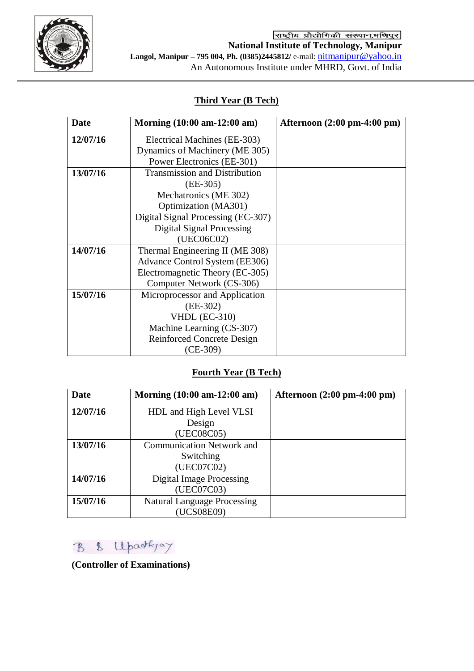

## **Third Year (B Tech)**

| Date     | Morning (10:00 am-12:00 am)          | Afternoon $(2:00 \text{ pm-}4:00 \text{ pm})$ |
|----------|--------------------------------------|-----------------------------------------------|
| 12/07/16 | Electrical Machines (EE-303)         |                                               |
|          | Dynamics of Machinery (ME 305)       |                                               |
|          | Power Electronics (EE-301)           |                                               |
| 13/07/16 | <b>Transmission and Distribution</b> |                                               |
|          | $(EE-305)$                           |                                               |
|          | Mechatronics (ME 302)                |                                               |
|          | Optimization (MA301)                 |                                               |
|          | Digital Signal Processing (EC-307)   |                                               |
|          | <b>Digital Signal Processing</b>     |                                               |
|          | (UEC06C02)                           |                                               |
| 14/07/16 | Thermal Engineering II (ME 308)      |                                               |
|          | Advance Control System (EE306)       |                                               |
|          | Electromagnetic Theory (EC-305)      |                                               |
|          | Computer Network (CS-306)            |                                               |
| 15/07/16 | Microprocessor and Application       |                                               |
|          | $(EE-302)$                           |                                               |
|          | <b>VHDL</b> (EC-310)                 |                                               |
|          | Machine Learning (CS-307)            |                                               |
|          | <b>Reinforced Concrete Design</b>    |                                               |
|          | $(CE-309)$                           |                                               |

# **Fourth Year (B Tech)**

| Date     | Morning $(10:00 \text{ am} - 12:00 \text{ am})$ | Afternoon $(2:00 \text{ pm-}4:00 \text{ pm})$ |
|----------|-------------------------------------------------|-----------------------------------------------|
| 12/07/16 | HDL and High Level VLSI                         |                                               |
|          | Design                                          |                                               |
|          | (UEC08C05)                                      |                                               |
| 13/07/16 | Communication Network and                       |                                               |
|          | Switching                                       |                                               |
|          | (UEC07C02)                                      |                                               |
| 14/07/16 | <b>Digital Image Processing</b>                 |                                               |
|          | (UEC07C03)                                      |                                               |
| 15/07/16 | <b>Natural Language Processing</b>              |                                               |
|          | (UCS08E09)                                      |                                               |

B & Upartyay

**(Controller of Examinations)**